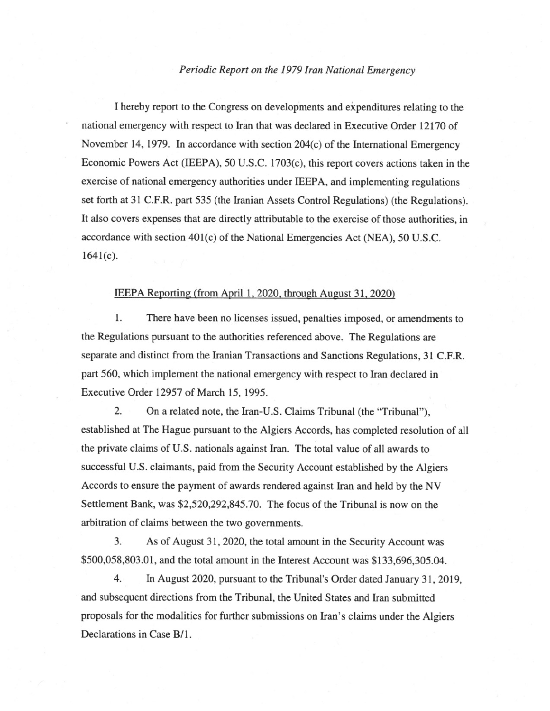## *Periodic Report on the 1979 Iran National Emergency*

<sup>I</sup>hereby report to the Congress on developments and expenditures relating to the national emergency with respect to Iran that was declared in Executive Order 12170 of November 14, 1979. In accordance with section 204(c) of the International Emergency Economic Powers Act (IEEPA), 50 U.S.C. 1703(c), this report covers actions taken in the exercise of national emergency authorities under IEEPA, and implementing regulations set forth at 31 C.F.R. part 535 (the Iranian Assets Control Regulations) (the Regulations). It also covers expenses that are directly attributable to the exercise of those authorities, in accordance with section 401(c) of the National Emergencies Act (NEA), 50 U.S.C.  $1641(c)$ .

## IEEPA Reporting (from April 1, 2020, through August 31, 2020)

1. There have been no licenses issued, penalties imposed, or amendments to the Regulations pursuant to the authorities referenced above. The Regulations are separate and distinct from the Iranian Transactions and Sanctions Regulations, 31 C.F.R. part 560, which implement the national emergency with respect to Iran declared in Executive Order 12957 of March 15, 1995.

2. On a related note, the Iran-U.S. Claims Tribunal (the "Tribunal"), established at The Hague pursuant to the Algiers Accords, has completed resolution of all the private claims of U.S. nationals against Iran. The total value of all awards to successful U.S. claimants, paid from the Security Account established by the Algiers Accords to ensure the payment of awards rendered against Iran and held by the NV Settlement Bank, was \$2,520,292,845.70. The focus of the Tribunal is now on the arbitration of claims between the two governments.

3. As of August 31, 2020, the total amount in the Security Account was \$500,058,803.01, and the total amount in the Interest Account was \$133,696,305.04.

4. In August 2020, pursuant to the Tribunal's Order dated January 31, 2019, and subsequent directions from the Tribunal, the United States and Iran submitted proposals for the modalities for further submissions on Iran's claims under the Algiers Declarations in Case B/1.